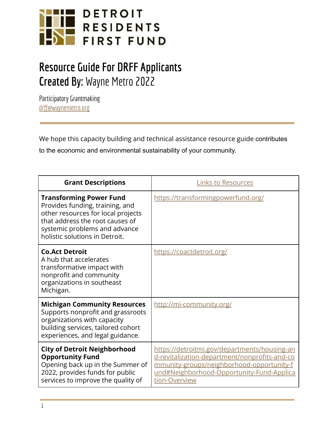

## **Resource Guide For DRFF Applicants Created By:** Wayne Metro 2022

Participatory Grantmaking [drff@waynemetro.org](mailto:drff@waynemetro.org)

We hope this capacity building and technical assistance resource guide contributes to the economic and environmental sustainability of your community.

| <b>Grant Descriptions</b>                                                                                                                                                                                     | <b>Links to Resources</b>                                                                                                                                                                                |
|---------------------------------------------------------------------------------------------------------------------------------------------------------------------------------------------------------------|----------------------------------------------------------------------------------------------------------------------------------------------------------------------------------------------------------|
| <b>Transforming Power Fund</b><br>Provides funding, training, and<br>other resources for local projects<br>that address the root causes of<br>systemic problems and advance<br>holistic solutions in Detroit. | https://transformingpowerfund.org/                                                                                                                                                                       |
| <b>Co.Act Detroit</b><br>A hub that accelerates<br>transformative impact with<br>nonprofit and community<br>organizations in southeast<br>Michigan.                                                           | https://coactdetroit.org/                                                                                                                                                                                |
| <b>Michigan Community Resources</b><br>Supports nonprofit and grassroots<br>organizations with capacity<br>building services, tailored cohort<br>experiences, and legal guidance.                             | http://mi-community.org/                                                                                                                                                                                 |
| <b>City of Detroit Neighborhood</b><br><b>Opportunity Fund</b><br>Opening back up in the Summer of<br>2022, provides funds for public<br>services to improve the quality of                                   | https://detroitmi.gov/departments/housing-an<br>d-revitalization-department/nonprofits-and-co<br>mmunity-groups/neighborhood-opportunity-f<br>und#Neighborhood-Opportunity-Fund-Applica<br>tion-Overview |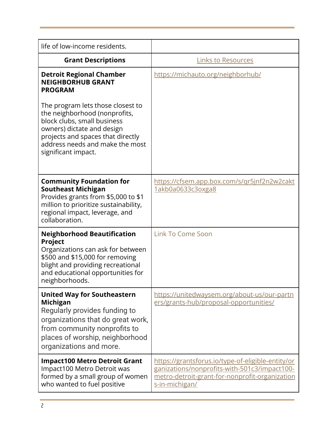| life of low-income residents.                                                                                                                                                                                                  |                                                                                                                                                                       |
|--------------------------------------------------------------------------------------------------------------------------------------------------------------------------------------------------------------------------------|-----------------------------------------------------------------------------------------------------------------------------------------------------------------------|
| <b>Grant Descriptions</b>                                                                                                                                                                                                      | <b>Links to Resources</b>                                                                                                                                             |
| <b>Detroit Regional Chamber</b><br><b>NEIGHBORHUB GRANT</b><br><b>PROGRAM</b>                                                                                                                                                  | https://michauto.org/neighborhub/                                                                                                                                     |
| The program lets those closest to<br>the neighborhood (nonprofits,<br>block clubs, small business<br>owners) dictate and design<br>projects and spaces that directly<br>address needs and make the most<br>significant impact. |                                                                                                                                                                       |
| <b>Community Foundation for</b><br><b>Southeast Michigan</b><br>Provides grants from \$5,000 to \$1<br>million to prioritize sustainability,<br>regional impact, leverage, and<br>collaboration.                               | https://cfsem.app.box.com/s/gr5jnf2n2w2cakt<br>1akb0a0633c3oxga8                                                                                                      |
| <b>Neighborhood Beautification</b><br><b>Project</b><br>Organizations can ask for between<br>\$500 and \$15,000 for removing<br>blight and providing recreational<br>and educational opportunities for<br>neighborhoods.       | <b>Link To Come Soon</b>                                                                                                                                              |
| <b>United Way for Southeastern</b><br><b>Michigan</b><br>Regularly provides funding to<br>organizations that do great work,<br>from community nonprofits to<br>places of worship, neighborhood<br>organizations and more.      | https://unitedwaysem.org/about-us/our-partn<br>ers/grants-hub/proposal-opportunities/                                                                                 |
| <b>Impact100 Metro Detroit Grant</b><br>Impact100 Metro Detroit was<br>formed by a small group of women<br>who wanted to fuel positive                                                                                         | https://grantsforus.io/type-of-eligible-entity/or<br>ganizations/nonprofits-with-501c3/impact100-<br>metro-detroit-grant-for-nonprofit-organization<br>s-in-michigan/ |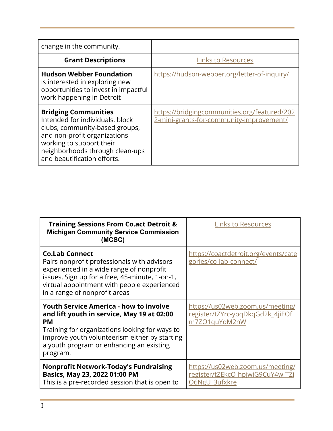| change in the community.                                                                                                                                                                                                       |                                                                                          |
|--------------------------------------------------------------------------------------------------------------------------------------------------------------------------------------------------------------------------------|------------------------------------------------------------------------------------------|
| <b>Grant Descriptions</b>                                                                                                                                                                                                      | <b>Links to Resources</b>                                                                |
| <b>Hudson Webber Foundation</b><br>is interested in exploring new<br>opportunities to invest in impactful<br>work happening in Detroit                                                                                         | https://hudson-webber.org/letter-of-inquiry/                                             |
| <b>Bridging Communities</b><br>Intended for individuals, block<br>clubs, community-based groups,<br>and non-profit organizations<br>working to support their<br>neighborhoods through clean-ups<br>and beautification efforts. | https://bridgingcommunities.org/featured/202<br>2-mini-grants-for-community-improvement/ |

| <b>Training Sessions From Co.act Detroit &amp;</b><br><b>Michigan Community Service Commission</b><br>(MCSC)                                                                                                                                                        | <b>Links to Resources</b>                                                             |
|---------------------------------------------------------------------------------------------------------------------------------------------------------------------------------------------------------------------------------------------------------------------|---------------------------------------------------------------------------------------|
| <b>Co.Lab Connect</b><br>Pairs nonprofit professionals with advisors<br>experienced in a wide range of nonprofit<br>issues. Sign up for a free, 45-minute, 1-on-1,<br>virtual appointment with people experienced<br>in a range of nonprofit areas                  | https://coactdetroit.org/events/cate<br>gories/co-lab-connect/                        |
| <b>Youth Service America - how to involve</b><br>and lift youth in service, May 19 at 02:00<br><b>PM</b><br>Training for organizations looking for ways to<br>improve youth volunteerism either by starting<br>a youth program or enhancing an existing<br>program. | https://us02web.zoom.us/meeting/<br>register/tZYrc-yogDkgGd2k 4jiEOf<br>m7ZO1quYoM2nW |
| <b>Nonprofit Network-Today's Fundraising</b><br>Basics, May 23, 2022 01:00 PM<br>This is a pre-recorded session that is open to                                                                                                                                     | https://us02web.zoom.us/meeting/<br>register/tZEkcO-hpjwiG9CuY4w-TZi<br>O6NgU 3ufxkre |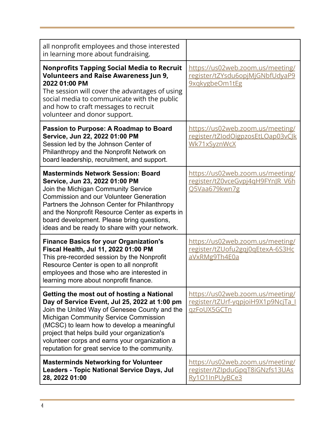| all nonprofit employees and those interested<br>in learning more about fundraising.                                                                                                                                                                                                                                                                                                     |                                                                                       |
|-----------------------------------------------------------------------------------------------------------------------------------------------------------------------------------------------------------------------------------------------------------------------------------------------------------------------------------------------------------------------------------------|---------------------------------------------------------------------------------------|
| <b>Nonprofits Tapping Social Media to Recruit</b><br><b>Volunteers and Raise Awareness Jun 9,</b><br>2022 01:00 PM<br>The session will cover the advantages of using<br>social media to communicate with the public<br>and how to craft messages to recruit<br>volunteer and donor support.                                                                                             | https://us02web.zoom.us/meeting/<br>register/tZYsdu6opjMjGNbfUdyaP9<br>9xqkygbeOm1tEg |
| Passion to Purpose: A Roadmap to Board<br>Service, Jun 22, 2022 01:00 PM<br>Session led by the Johnson Center of<br>Philanthropy and the Nonprofit Network on<br>board leadership, recruitment, and support.                                                                                                                                                                            | https://us02web.zoom.us/meeting/<br>register/tZlodOigpzosEtLOap03vCJk<br>Wk71xSyznWcX |
| <b>Masterminds Network Session: Board</b><br>Service, Jun 23, 2022 01:00 PM<br>Join the Michigan Community Service<br><b>Commission and our Volunteer Generation</b><br>Partners the Johnson Center for Philanthropy<br>and the Nonprofit Resource Center as experts in<br>board development. Please bring questions,<br>ideas and be ready to share with your network.                 | https://us02web.zoom.us/meeting/<br>register/tZ0vceGvpj4qH9FYnJR V6h<br>Q5Vaa679kwn7g |
| <b>Finance Basics for your Organization's</b><br>Fiscal Health, Jul 11, 2022 01:00 PM<br>This pre-recorded session by the Nonprofit<br>Resource Center is open to all nonprofit<br>employees and those who are interested in<br>learning more about nonprofit finance.                                                                                                                  | https://us02web.zoom.us/meeting/<br>register/tZUofu2gqj0qEtexA-6S3Hc<br>aVxRMg9Th4E0a |
| Getting the most out of hosting a National<br>Day of Service Event, Jul 25, 2022 at 1:00 pm<br>Join the United Way of Genesee County and the<br>Michigan Community Service Commission<br>(MCSC) to learn how to develop a meaningful<br>project that helps build your organization's<br>volunteer corps and earns your organization a<br>reputation for great service to the community. | https://us02web.zoom.us/meeting/<br>register/tZUrf-yqpjoiH9X1p9NcjTa<br>qzFoUX5GCTn   |
| <b>Masterminds Networking for Volunteer</b><br><b>Leaders - Topic National Service Days, Jul</b><br>28, 2022 01:00                                                                                                                                                                                                                                                                      | https://us02web.zoom.us/meeting/<br>register/tZlpduGpqT8iGNzfs13UAs<br>Ry101InPUyBCe3 |